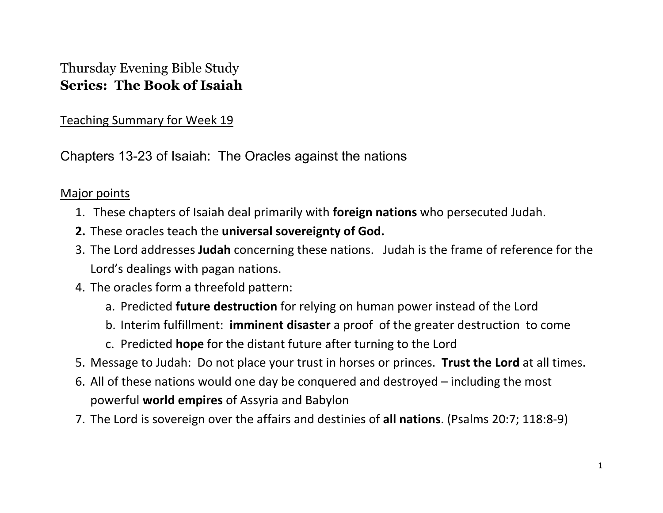## Thursday Evening Bible Study **Series: The Book of Isaiah**

Teaching Summary for Week 19

Chapters 13-23 of Isaiah: The Oracles against the nations

## Major points

- 1. These chapters of Isaiah deal primarily with **foreign nations** who persecuted Judah.
- **2.** These oracles teach the **universal sovereignty of God.**
- 3. The Lord addresses **Judah** concerning these nations. Judah is the frame of reference for the Lord's dealings with pagan nations.
- 4. The oracles form a threefold pattern:
	- a. Predicted **future destruction** for relying on human power instead of the Lord
	- b. Interim fulfillment: **imminent disaster** a proof of the greater destruction to come
	- c. Predicted **hope** for the distant future after turning to the Lord
- 5. Message to Judah: Do not place your trust in horses or princes. **Trust the Lord** at all times.
- 6. All of these nations would one day be conquered and destroyed including the most powerful **world empires** of Assyria and Babylon
- 7. The Lord is sovereign over the affairs and destinies of **all nations**. (Psalms 20:7; 118:8-9)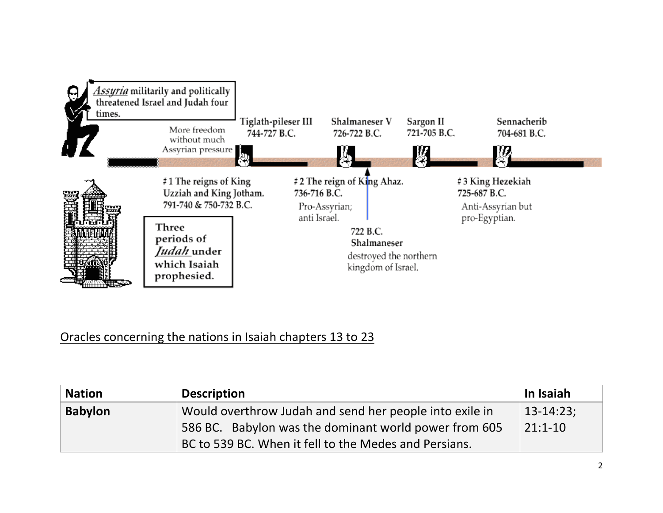

## Oracles concerning the nations in Isaiah chapters 13 to 23

| <b>Nation</b>  | <b>Description</b>                                      | In Isaiah         |
|----------------|---------------------------------------------------------|-------------------|
| <b>Babylon</b> | Would overthrow Judah and send her people into exile in | $\vert$ 13-14:23; |
|                | 586 BC. Babylon was the dominant world power from 605   | $21:1 - 10$       |
|                | BC to 539 BC. When it fell to the Medes and Persians.   |                   |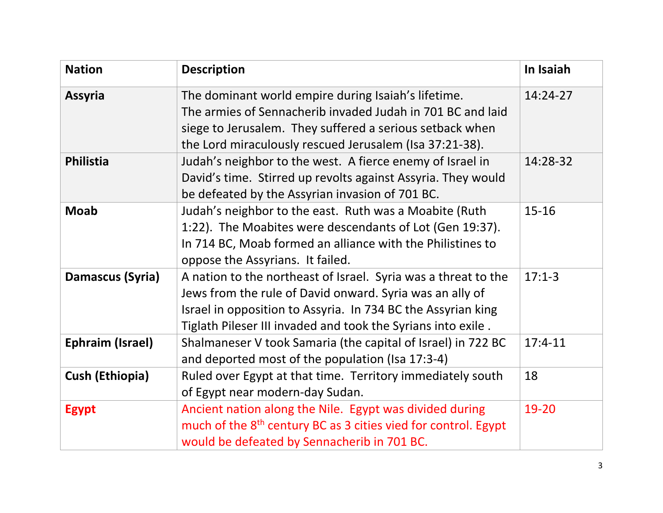| <b>Nation</b>          | <b>Description</b>                                                                                                                                                                                                                                         | In Isaiah |
|------------------------|------------------------------------------------------------------------------------------------------------------------------------------------------------------------------------------------------------------------------------------------------------|-----------|
| <b>Assyria</b>         | The dominant world empire during Isaiah's lifetime.<br>The armies of Sennacherib invaded Judah in 701 BC and laid<br>siege to Jerusalem. They suffered a serious setback when<br>the Lord miraculously rescued Jerusalem (Isa 37:21-38).                   | 14:24-27  |
| Philistia              | Judah's neighbor to the west. A fierce enemy of Israel in<br>David's time. Stirred up revolts against Assyria. They would<br>be defeated by the Assyrian invasion of 701 BC.                                                                               | 14:28-32  |
| <b>Moab</b>            | Judah's neighbor to the east. Ruth was a Moabite (Ruth<br>1:22). The Moabites were descendants of Lot (Gen 19:37).<br>In 714 BC, Moab formed an alliance with the Philistines to<br>oppose the Assyrians. It failed.                                       | $15 - 16$ |
| Damascus (Syria)       | A nation to the northeast of Israel. Syria was a threat to the<br>Jews from the rule of David onward. Syria was an ally of<br>Israel in opposition to Assyria. In 734 BC the Assyrian king<br>Tiglath Pileser III invaded and took the Syrians into exile. | $17:1-3$  |
| Ephraim (Israel)       | Shalmaneser V took Samaria (the capital of Israel) in 722 BC<br>and deported most of the population (Isa 17:3-4)                                                                                                                                           | $17:4-11$ |
| <b>Cush (Ethiopia)</b> | Ruled over Egypt at that time. Territory immediately south<br>of Egypt near modern-day Sudan.                                                                                                                                                              | 18        |
| <b>Egypt</b>           | Ancient nation along the Nile. Egypt was divided during<br>much of the 8 <sup>th</sup> century BC as 3 cities vied for control. Egypt<br>would be defeated by Sennacherib in 701 BC.                                                                       | 19-20     |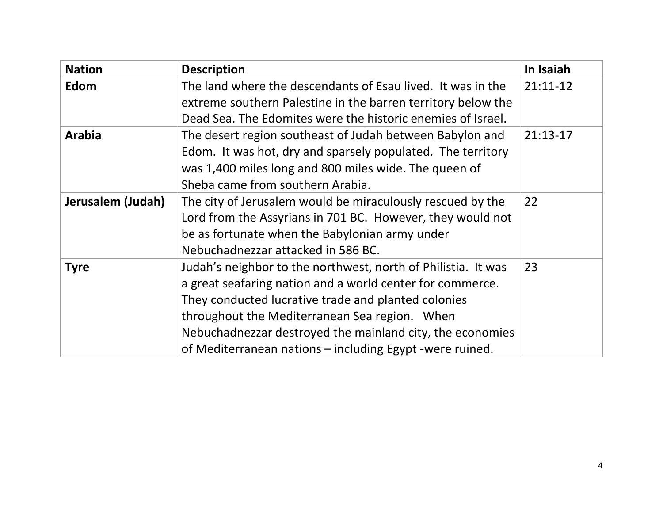| <b>Nation</b>     | <b>Description</b>                                                                                                                                                                                                                                                                                                                                          | In Isaiah  |
|-------------------|-------------------------------------------------------------------------------------------------------------------------------------------------------------------------------------------------------------------------------------------------------------------------------------------------------------------------------------------------------------|------------|
| Edom              | The land where the descendants of Esau lived. It was in the<br>extreme southern Palestine in the barren territory below the<br>Dead Sea. The Edomites were the historic enemies of Israel.                                                                                                                                                                  | $21:11-12$ |
| <b>Arabia</b>     | The desert region southeast of Judah between Babylon and<br>Edom. It was hot, dry and sparsely populated. The territory<br>was 1,400 miles long and 800 miles wide. The queen of<br>Sheba came from southern Arabia.                                                                                                                                        | $21:13-17$ |
| Jerusalem (Judah) | The city of Jerusalem would be miraculously rescued by the<br>Lord from the Assyrians in 701 BC. However, they would not<br>be as fortunate when the Babylonian army under<br>Nebuchadnezzar attacked in 586 BC.                                                                                                                                            | 22         |
| <b>Tyre</b>       | Judah's neighbor to the northwest, north of Philistia. It was<br>a great seafaring nation and a world center for commerce.<br>They conducted lucrative trade and planted colonies<br>throughout the Mediterranean Sea region. When<br>Nebuchadnezzar destroyed the mainland city, the economies<br>of Mediterranean nations - including Egypt -were ruined. | 23         |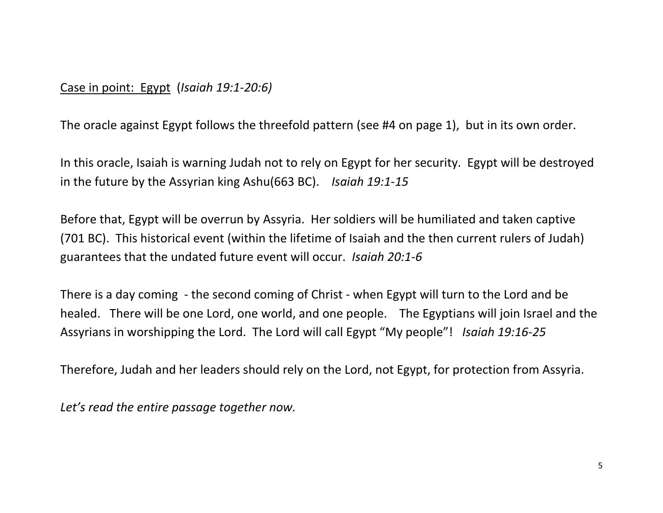## Case in point: Egypt (*Isaiah 19:1-20:6)*

The oracle against Egypt follows the threefold pattern (see #4 on page 1), but in its own order.

In this oracle, Isaiah is warning Judah not to rely on Egypt for her security. Egypt will be destroyed in the future by the Assyrian king Ashu(663 BC). *Isaiah 19:1-15*

Before that, Egypt will be overrun by Assyria. Her soldiers will be humiliated and taken captive (701 BC). This historical event (within the lifetime of Isaiah and the then current rulers of Judah) guarantees that the undated future event will occur. *Isaiah 20:1-6*

There is a day coming - the second coming of Christ - when Egypt will turn to the Lord and be healed. There will be one Lord, one world, and one people. The Egyptians will join Israel and the Assyrians in worshipping the Lord. The Lord will call Egypt "My people"! *Isaiah 19:16-25*

Therefore, Judah and her leaders should rely on the Lord, not Egypt, for protection from Assyria.

*Let's read the entire passage together now.*